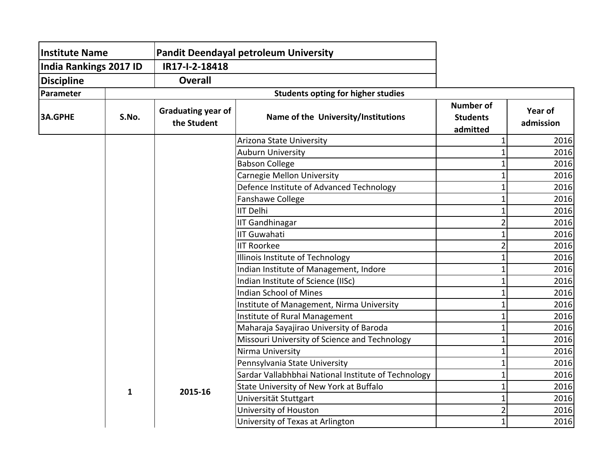| <b>Institute Name</b><br><b>India Rankings 2017 ID</b> |              | <b>Pandit Deendayal petroleum University</b><br>IR17-I-2-18418 |                                                     |                                                 |                      |
|--------------------------------------------------------|--------------|----------------------------------------------------------------|-----------------------------------------------------|-------------------------------------------------|----------------------|
|                                                        |              |                                                                |                                                     |                                                 |                      |
| <b>Discipline</b>                                      |              | <b>Overall</b>                                                 |                                                     |                                                 |                      |
| Parameter                                              |              |                                                                | <b>Students opting for higher studies</b>           |                                                 |                      |
| <b>3A.GPHE</b>                                         | S.No.        | Graduating year of<br>the Student                              | Name of the University/Institutions                 | <b>Number of</b><br><b>Students</b><br>admitted | Year of<br>admission |
|                                                        |              |                                                                | Arizona State University                            |                                                 | 2016                 |
|                                                        |              |                                                                | <b>Auburn University</b>                            |                                                 | 2016                 |
|                                                        |              |                                                                | <b>Babson College</b>                               |                                                 | 2016                 |
|                                                        |              |                                                                | Carnegie Mellon University                          |                                                 | 2016                 |
|                                                        |              |                                                                | Defence Institute of Advanced Technology            |                                                 | 2016                 |
|                                                        |              |                                                                | Fanshawe College                                    |                                                 | 2016                 |
|                                                        |              |                                                                | <b>IIT Delhi</b>                                    |                                                 | 2016                 |
|                                                        |              |                                                                | <b>IIT Gandhinagar</b>                              |                                                 | 2016                 |
|                                                        |              |                                                                | IIIT Guwahati                                       |                                                 | 2016                 |
|                                                        |              |                                                                | <b>IIT Roorkee</b>                                  |                                                 | 2016                 |
|                                                        |              |                                                                | Illinois Institute of Technology                    |                                                 | 2016                 |
|                                                        |              |                                                                | Indian Institute of Management, Indore              |                                                 | 2016                 |
|                                                        |              |                                                                | Indian Institute of Science (IISc)                  |                                                 | 2016                 |
|                                                        |              |                                                                | <b>Indian School of Mines</b>                       |                                                 | 2016                 |
|                                                        |              |                                                                | Institute of Management, Nirma University           |                                                 | 2016                 |
|                                                        |              |                                                                | Institute of Rural Management                       |                                                 | 2016                 |
|                                                        |              |                                                                | Maharaja Sayajirao University of Baroda             |                                                 | 2016                 |
|                                                        |              |                                                                | Missouri University of Science and Technology       |                                                 | 2016                 |
|                                                        |              |                                                                | Nirma University                                    |                                                 | 2016                 |
|                                                        |              |                                                                | Pennsylvania State University                       |                                                 | 2016                 |
|                                                        |              |                                                                | Sardar Vallabhbhai National Institute of Technology |                                                 | 2016                 |
|                                                        | $\mathbf{1}$ | 2015-16                                                        | State University of New York at Buffalo             |                                                 | 2016                 |
|                                                        |              |                                                                | Universität Stuttgart                               |                                                 | 2016                 |
|                                                        |              |                                                                | University of Houston                               |                                                 | 2016                 |
|                                                        |              |                                                                | University of Texas at Arlington                    |                                                 | 2016                 |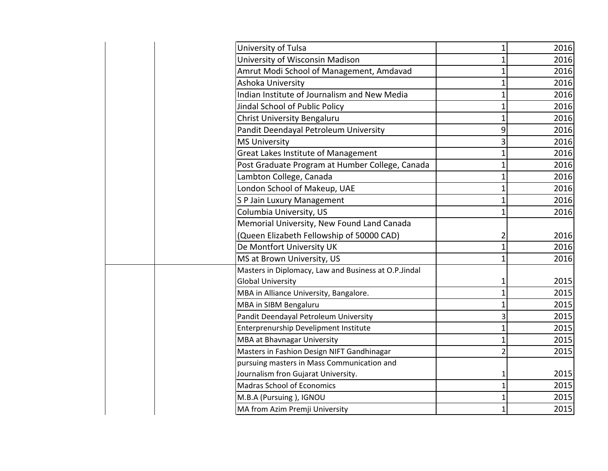| University of Tulsa<br>$\mathbf{1}$<br>University of Wisconsin Madison<br>Amrut Modi School of Management, Amdavad<br>Ashoka University<br>Indian Institute of Journalism and New Media<br>1<br>Jindal School of Public Policy<br><b>Christ University Bengaluru</b><br>1<br>9<br>Pandit Deendayal Petroleum University<br><b>MS University</b><br>3<br>Great Lakes Institute of Management<br>1<br>Post Graduate Program at Humber College, Canada<br>1<br>Lambton College, Canada<br>1<br>London School of Makeup, UAE<br>1<br>S P Jain Luxury Management<br>1<br>Columbia University, US<br>Memorial University, New Found Land Canada<br>(Queen Elizabeth Fellowship of 50000 CAD)<br>2<br>De Montfort University UK<br>MS at Brown University, US<br>$\mathbf 1$<br>Masters in Diplomacy, Law and Business at O.P.Jindal<br><b>Global University</b><br>1<br>MBA in Alliance University, Bangalore.<br>MBA in SIBM Bengaluru<br>Pandit Deendayal Petroleum University<br>3<br>Enterprenurship Develipment Institute<br>1<br>MBA at Bhavnagar University<br>Masters in Fashion Design NIFT Gandhinagar<br>2<br>pursuing masters in Mass Communication and<br>Journalism fron Gujarat University.<br>1<br><b>Madras School of Economics</b><br>$\mathbf{1}$<br>M.B.A (Pursuing), IGNOU<br>1<br>MA from Azim Premji University<br>1 |  |      |
|---------------------------------------------------------------------------------------------------------------------------------------------------------------------------------------------------------------------------------------------------------------------------------------------------------------------------------------------------------------------------------------------------------------------------------------------------------------------------------------------------------------------------------------------------------------------------------------------------------------------------------------------------------------------------------------------------------------------------------------------------------------------------------------------------------------------------------------------------------------------------------------------------------------------------------------------------------------------------------------------------------------------------------------------------------------------------------------------------------------------------------------------------------------------------------------------------------------------------------------------------------------------------------------------------------------------------------------|--|------|
| 2016<br>2016<br>2016<br>2016<br>2016<br>2016<br>2016<br>2016<br>2016<br>2016<br>2016<br>2016<br>2016<br>2016<br>2016<br>2016<br>2016<br>2015<br>2015<br>2015<br>2015<br>2015<br>2015<br>2015<br>2015<br>2015<br>2015<br>2015                                                                                                                                                                                                                                                                                                                                                                                                                                                                                                                                                                                                                                                                                                                                                                                                                                                                                                                                                                                                                                                                                                          |  | 2016 |
|                                                                                                                                                                                                                                                                                                                                                                                                                                                                                                                                                                                                                                                                                                                                                                                                                                                                                                                                                                                                                                                                                                                                                                                                                                                                                                                                       |  |      |
|                                                                                                                                                                                                                                                                                                                                                                                                                                                                                                                                                                                                                                                                                                                                                                                                                                                                                                                                                                                                                                                                                                                                                                                                                                                                                                                                       |  |      |
|                                                                                                                                                                                                                                                                                                                                                                                                                                                                                                                                                                                                                                                                                                                                                                                                                                                                                                                                                                                                                                                                                                                                                                                                                                                                                                                                       |  |      |
|                                                                                                                                                                                                                                                                                                                                                                                                                                                                                                                                                                                                                                                                                                                                                                                                                                                                                                                                                                                                                                                                                                                                                                                                                                                                                                                                       |  |      |
|                                                                                                                                                                                                                                                                                                                                                                                                                                                                                                                                                                                                                                                                                                                                                                                                                                                                                                                                                                                                                                                                                                                                                                                                                                                                                                                                       |  |      |
|                                                                                                                                                                                                                                                                                                                                                                                                                                                                                                                                                                                                                                                                                                                                                                                                                                                                                                                                                                                                                                                                                                                                                                                                                                                                                                                                       |  |      |
|                                                                                                                                                                                                                                                                                                                                                                                                                                                                                                                                                                                                                                                                                                                                                                                                                                                                                                                                                                                                                                                                                                                                                                                                                                                                                                                                       |  |      |
|                                                                                                                                                                                                                                                                                                                                                                                                                                                                                                                                                                                                                                                                                                                                                                                                                                                                                                                                                                                                                                                                                                                                                                                                                                                                                                                                       |  |      |
|                                                                                                                                                                                                                                                                                                                                                                                                                                                                                                                                                                                                                                                                                                                                                                                                                                                                                                                                                                                                                                                                                                                                                                                                                                                                                                                                       |  |      |
|                                                                                                                                                                                                                                                                                                                                                                                                                                                                                                                                                                                                                                                                                                                                                                                                                                                                                                                                                                                                                                                                                                                                                                                                                                                                                                                                       |  |      |
|                                                                                                                                                                                                                                                                                                                                                                                                                                                                                                                                                                                                                                                                                                                                                                                                                                                                                                                                                                                                                                                                                                                                                                                                                                                                                                                                       |  |      |
|                                                                                                                                                                                                                                                                                                                                                                                                                                                                                                                                                                                                                                                                                                                                                                                                                                                                                                                                                                                                                                                                                                                                                                                                                                                                                                                                       |  |      |
|                                                                                                                                                                                                                                                                                                                                                                                                                                                                                                                                                                                                                                                                                                                                                                                                                                                                                                                                                                                                                                                                                                                                                                                                                                                                                                                                       |  |      |
|                                                                                                                                                                                                                                                                                                                                                                                                                                                                                                                                                                                                                                                                                                                                                                                                                                                                                                                                                                                                                                                                                                                                                                                                                                                                                                                                       |  |      |
|                                                                                                                                                                                                                                                                                                                                                                                                                                                                                                                                                                                                                                                                                                                                                                                                                                                                                                                                                                                                                                                                                                                                                                                                                                                                                                                                       |  |      |
|                                                                                                                                                                                                                                                                                                                                                                                                                                                                                                                                                                                                                                                                                                                                                                                                                                                                                                                                                                                                                                                                                                                                                                                                                                                                                                                                       |  |      |
|                                                                                                                                                                                                                                                                                                                                                                                                                                                                                                                                                                                                                                                                                                                                                                                                                                                                                                                                                                                                                                                                                                                                                                                                                                                                                                                                       |  |      |
|                                                                                                                                                                                                                                                                                                                                                                                                                                                                                                                                                                                                                                                                                                                                                                                                                                                                                                                                                                                                                                                                                                                                                                                                                                                                                                                                       |  |      |
|                                                                                                                                                                                                                                                                                                                                                                                                                                                                                                                                                                                                                                                                                                                                                                                                                                                                                                                                                                                                                                                                                                                                                                                                                                                                                                                                       |  |      |
|                                                                                                                                                                                                                                                                                                                                                                                                                                                                                                                                                                                                                                                                                                                                                                                                                                                                                                                                                                                                                                                                                                                                                                                                                                                                                                                                       |  |      |
|                                                                                                                                                                                                                                                                                                                                                                                                                                                                                                                                                                                                                                                                                                                                                                                                                                                                                                                                                                                                                                                                                                                                                                                                                                                                                                                                       |  |      |
|                                                                                                                                                                                                                                                                                                                                                                                                                                                                                                                                                                                                                                                                                                                                                                                                                                                                                                                                                                                                                                                                                                                                                                                                                                                                                                                                       |  |      |
|                                                                                                                                                                                                                                                                                                                                                                                                                                                                                                                                                                                                                                                                                                                                                                                                                                                                                                                                                                                                                                                                                                                                                                                                                                                                                                                                       |  |      |
|                                                                                                                                                                                                                                                                                                                                                                                                                                                                                                                                                                                                                                                                                                                                                                                                                                                                                                                                                                                                                                                                                                                                                                                                                                                                                                                                       |  |      |
|                                                                                                                                                                                                                                                                                                                                                                                                                                                                                                                                                                                                                                                                                                                                                                                                                                                                                                                                                                                                                                                                                                                                                                                                                                                                                                                                       |  |      |
|                                                                                                                                                                                                                                                                                                                                                                                                                                                                                                                                                                                                                                                                                                                                                                                                                                                                                                                                                                                                                                                                                                                                                                                                                                                                                                                                       |  |      |
|                                                                                                                                                                                                                                                                                                                                                                                                                                                                                                                                                                                                                                                                                                                                                                                                                                                                                                                                                                                                                                                                                                                                                                                                                                                                                                                                       |  |      |
|                                                                                                                                                                                                                                                                                                                                                                                                                                                                                                                                                                                                                                                                                                                                                                                                                                                                                                                                                                                                                                                                                                                                                                                                                                                                                                                                       |  |      |
|                                                                                                                                                                                                                                                                                                                                                                                                                                                                                                                                                                                                                                                                                                                                                                                                                                                                                                                                                                                                                                                                                                                                                                                                                                                                                                                                       |  |      |
|                                                                                                                                                                                                                                                                                                                                                                                                                                                                                                                                                                                                                                                                                                                                                                                                                                                                                                                                                                                                                                                                                                                                                                                                                                                                                                                                       |  |      |
|                                                                                                                                                                                                                                                                                                                                                                                                                                                                                                                                                                                                                                                                                                                                                                                                                                                                                                                                                                                                                                                                                                                                                                                                                                                                                                                                       |  |      |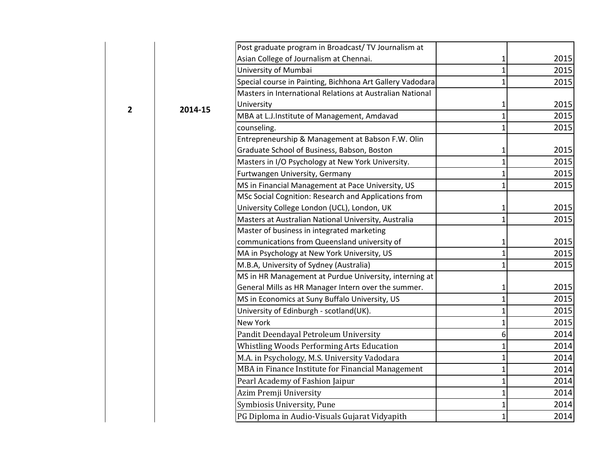|              | 2014-15 | Post graduate program in Broadcast/TV Journalism at       |   |      |
|--------------|---------|-----------------------------------------------------------|---|------|
|              |         | Asian College of Journalism at Chennai.                   |   | 2015 |
|              |         | University of Mumbai                                      |   | 2015 |
|              |         | Special course in Painting, Bichhona Art Gallery Vadodara |   | 2015 |
|              |         | Masters in International Relations at Australian National |   |      |
| $\mathbf{2}$ |         | University                                                |   | 2015 |
|              |         | MBA at L.J.Institute of Management, Amdavad               |   | 2015 |
|              |         | counseling.                                               |   | 2015 |
|              |         | Entrepreneurship & Management at Babson F.W. Olin         |   |      |
|              |         | Graduate School of Business, Babson, Boston               |   | 2015 |
|              |         | Masters in I/O Psychology at New York University.         |   | 2015 |
|              |         | Furtwangen University, Germany                            |   | 2015 |
|              |         | MS in Financial Management at Pace University, US         |   | 2015 |
|              |         | MSc Social Cognition: Research and Applications from      |   |      |
|              |         | University College London (UCL), London, UK               |   | 2015 |
|              |         | Masters at Australian National University, Australia      | 1 | 2015 |
|              |         | Master of business in integrated marketing                |   |      |
|              |         | communications from Queensland university of              |   | 2015 |
|              |         | MA in Psychology at New York University, US               |   | 2015 |
|              |         | M.B.A, University of Sydney (Australia)                   |   | 2015 |
|              |         | MS in HR Management at Purdue University, interning at    |   |      |
|              |         | General Mills as HR Manager Intern over the summer.       |   | 2015 |
|              |         | MS in Economics at Suny Buffalo University, US            |   | 2015 |
|              |         | University of Edinburgh - scotland(UK).                   |   | 2015 |
|              |         | New York                                                  |   | 2015 |
|              |         | Pandit Deendayal Petroleum University                     | 6 | 2014 |
|              |         | <b>Whistling Woods Performing Arts Education</b>          |   | 2014 |
|              |         | M.A. in Psychology, M.S. University Vadodara              |   | 2014 |
|              |         | MBA in Finance Institute for Financial Management         |   | 2014 |
|              |         | Pearl Academy of Fashion Jaipur                           |   | 2014 |
|              |         | Azim Premji University                                    |   | 2014 |
|              |         | Symbiosis University, Pune                                |   | 2014 |
|              |         | PG Diploma in Audio-Visuals Gujarat Vidyapith             | 1 | 2014 |